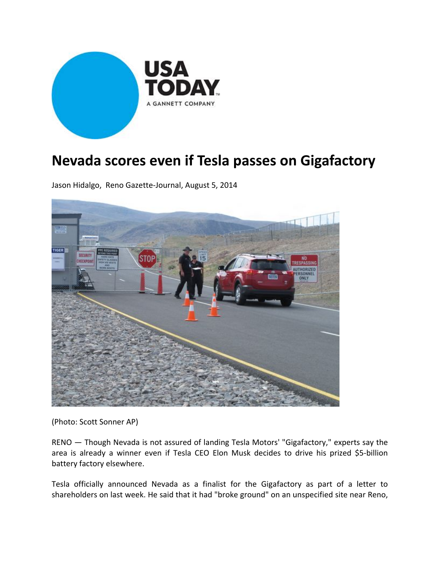

## **Nevada scores even if Tesla passes on Gigafactory**

Jason Hidalgo, Reno Gazette‐Journal, August 5, 2014



(Photo: Scott Sonner AP)

RENO — Though Nevada is not assured of landing Tesla Motors' "Gigafactory," experts say the area is already a winner even if Tesla CEO Elon Musk decides to drive his prized \$5‐billion battery factory elsewhere.

Tesla officially announced Nevada as a finalist for the Gigafactory as part of a letter to shareholders on last week. He said that it had "broke ground" on an unspecified site near Reno,